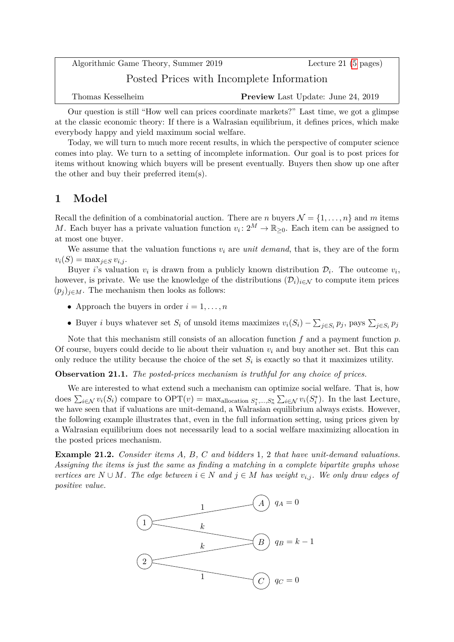Algorithmic Game Theory, Summer 2019 Lecture 21 [\(5](#page-4-0) pages) Posted Prices with Incomplete Information Thomas Kesselheim **Preview** Last Update: June 24, 2019

Our question is still "How well can prices coordinate markets?" Last time, we got a glimpse at the classic economic theory: If there is a Walrasian equilibrium, it defines prices, which make everybody happy and yield maximum social welfare.

Today, we will turn to much more recent results, in which the perspective of computer science comes into play. We turn to a setting of incomplete information. Our goal is to post prices for items without knowing which buyers will be present eventually. Buyers then show up one after the other and buy their preferred item(s).

### **1 Model**

Recall the definition of a combinatorial auction. There are *n* buyers  $\mathcal{N} = \{1, \ldots, n\}$  and *m* items *M*. Each buyer has a private valuation function  $v_i: 2^M \to \mathbb{R}_{\geq 0}$ . Each item can be assigned to at most one buyer.

We assume that the valuation functions  $v_i$  are *unit demand*, that is, they are of the form  $v_i(S) = \max_{j \in S} v_{i,j}$ .

Buyer *i*'s valuation  $v_i$  is drawn from a publicly known distribution  $\mathcal{D}_i$ . The outcome  $v_i$ , however, is private. We use the knowledge of the distributions  $(\mathcal{D}_i)_{i\in\mathcal{N}}$  to compute item prices  $(p_i)_{i \in M}$ . The mechanism then looks as follows:

- Approach the buyers in order  $i = 1, \ldots, n$
- Buyer *i* buys whatever set  $S_i$  of unsold items maximizes  $v_i(S_i) \sum_{j \in S_i} p_j$ , pays  $\sum_{j \in S_i} p_j$

Note that this mechanism still consists of an allocation function *f* and a payment function *p*. Of course, buyers could decide to lie about their valuation  $v_i$  and buy another set. But this can only reduce the utility because the choice of the set  $S_i$  is exactly so that it maximizes utility.

**Observation 21.1.** *The posted-prices mechanism is truthful for any choice of prices.*

We are interested to what extend such a mechanism can optimize social welfare. That is, how does  $\sum_{i \in \mathcal{N}} v_i(S_i)$  compare to  $\text{OPT}(v) = \max_{\text{allocation } S_1^*,...,S_n^*} \sum_{i \in \mathcal{N}} v_i(S_i^*)$ . In the last Lecture, we have seen that if valuations are unit-demand, a Walrasian equilibrium always exists. However, the following example illustrates that, even in the full information setting, using prices given by a Walrasian equilibrium does not necessarily lead to a social welfare maximizing allocation in the posted prices mechanism.

**Example 21.2.** *Consider items A, B, C and bidders* 1*,* 2 *that have unit-demand valuations. Assigning the items is just the same as finding a matching in a complete bipartite graphs whose vertices are*  $N ∪ M$ *. The edge between*  $i ∈ N$  *and*  $j ∈ M$  *has weight*  $v_{i,j}$ *. We only draw edges of positive value.*

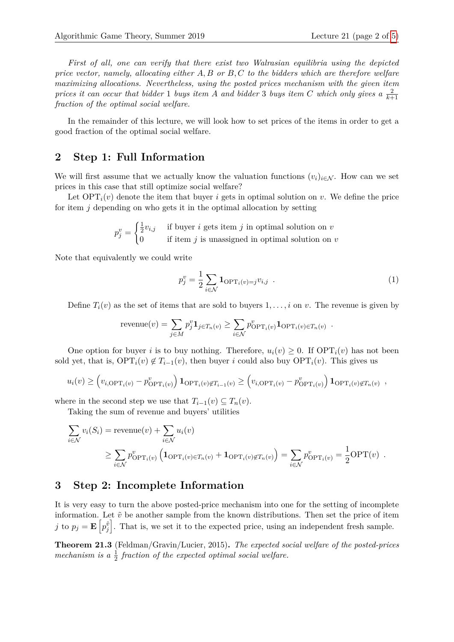*First of all, one can verify that there exist two Walrasian equilibria using the depicted price vector, namely, allocating either A, B or B, C to the bidders which are therefore welfare maximizing allocations. Nevertheless, using the posted prices mechanism with the given item prices it can occur that bidder* 1 *buys item A and bidder* 3 *buys item C which only gives*  $a \frac{2}{k+1}$ *fraction of the optimal social welfare.*

In the remainder of this lecture, we will look how to set prices of the items in order to get a good fraction of the optimal social welfare.

#### **2 Step 1: Full Information**

We will first assume that we actually know the valuation functions  $(v_i)_{i \in \mathcal{N}}$ . How can we set prices in this case that still optimize social welfare?

Let  $\text{OPT}_i(v)$  denote the item that buyer *i* gets in optimal solution on *v*. We define the price for item *j* depending on who gets it in the optimal allocation by setting

$$
p_j^v = \begin{cases} \frac{1}{2}v_{i,j} & \text{if buyer } i \text{ gets item } j \text{ in optimal solution on } v \\ 0 & \text{if item } j \text{ is unassigned in optimal solution on } v \end{cases}
$$

Note that equivalently we could write

<span id="page-1-0"></span>
$$
p_j^v = \frac{1}{2} \sum_{i \in \mathcal{N}} \mathbf{1}_{\text{OPT}_i(v) = j} v_{i,j} \tag{1}
$$

Define  $T_i(v)$  as the set of items that are sold to buyers  $1, \ldots, i$  on *v*. The revenue is given by

$$
revenue(v) = \sum_{j \in M} p_j^v \mathbf{1}_{j \in T_n(v)} \ge \sum_{i \in \mathcal{N}} p_{\text{OPT}_i(v)}^v \mathbf{1}_{\text{OPT}_i(v) \in T_n(v)}.
$$

One option for buyer *i* is to buy nothing. Therefore,  $u_i(v) \geq 0$ . If  $\text{OPT}_i(v)$  has not been sold yet, that is,  $\text{OPT}_i(v) \notin T_{i-1}(v)$ , then buyer *i* could also buy  $\text{OPT}_i(v)$ . This gives us

$$
u_i(v) \geq \left(v_{i,\text{OPT}_i(v)} - p_{\text{OPT}_i(v)}^v\right) \mathbf{1}_{\text{OPT}_i(v)\notin T_{i-1}(v)} \geq \left(v_{i,\text{OPT}_i(v)} - p_{\text{OPT}_i(v)}^v\right) \mathbf{1}_{\text{OPT}_i(v)\notin T_n(v)},
$$

where in the second step we use that  $T_{i-1}(v) \subseteq T_n(v)$ .

Taking the sum of revenue and buyers' utilities

$$
\sum_{i \in \mathcal{N}} v_i(S_i) = \text{revenue}(v) + \sum_{i \in \mathcal{N}} u_i(v)
$$
\n
$$
\geq \sum_{i \in \mathcal{N}} p_{\text{OPT}_i(v)}^v \left( \mathbf{1}_{\text{OPT}_i(v) \in T_n(v)} + \mathbf{1}_{\text{OPT}_i(v) \notin T_n(v)} \right) = \sum_{i \in \mathcal{N}} p_{\text{OPT}_i(v)}^v = \frac{1}{2} \text{OPT}(v) .
$$

### **3 Step 2: Incomplete Information**

It is very easy to turn the above posted-price mechanism into one for the setting of incomplete information. Let  $\tilde{v}$  be another sample from the known distributions. Then set the price of item *j* to  $p_j = \mathbf{E}\left[p_j^{\tilde{v}}\right]$ . That is, we set it to the expected price, using an independent fresh sample.

**Theorem 21.3** (Feldman/Gravin/Lucier, 2015)**.** *The expected social welfare of the posted-prices* mechanism is a  $\frac{1}{2}$  fraction of the expected optimal social welfare.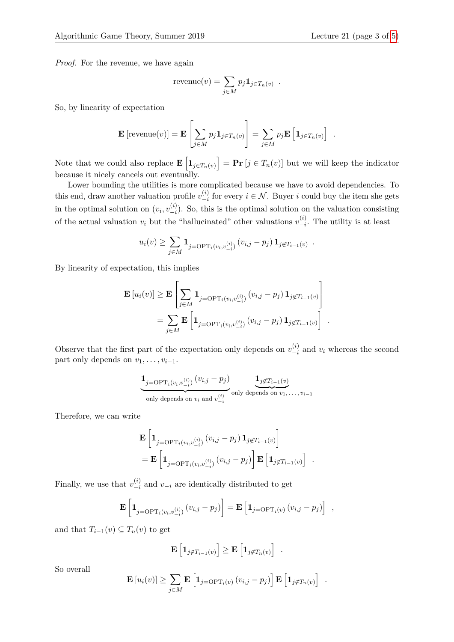*Proof.* For the revenue, we have again

$$
revenue(v) = \sum_{j \in M} p_j \mathbf{1}_{j \in T_n(v)}.
$$

So, by linearity of expectation

$$
\mathbf{E}\left[\mathrm{revenue}(v)\right] = \mathbf{E}\left[\sum_{j\in M} p_j \mathbf{1}_{j\in T_n(v)}\right] = \sum_{j\in M} p_j \mathbf{E}\left[\mathbf{1}_{j\in T_n(v)}\right] .
$$

Note that we could also replace  $\mathbf{E}\left[\mathbf{1}_{j\in T_n(v)}\right] = \mathbf{Pr}\left[j \in T_n(v)\right]$  but we will keep the indicator because it nicely cancels out eventually.

Lower bounding the utilities is more complicated because we have to avoid dependencies. To this end, draw another valuation profile  $v_{-i}^{(i)}$  $\binom{v_i}{i}$  for every  $i \in \mathcal{N}$ . Buyer *i* could buy the item she gets in the optimal solution on  $(v_i, v_{-i}^{(i)})$  $\binom{v}{i}$ . So, this is the optimal solution on the valuation consisting of the actual valuation  $v_i$  but the "hallucinated" other valuations  $v_{-i}^{(i)}$  $\int_{-i}^{(i)}$ . The utility is at least

$$
u_i(v) \geq \sum_{j \in M} \mathbf{1}_{j=\text{OPT}_i(v_i, v_{-i}^{(i)})} (v_{i,j} - p_j) \mathbf{1}_{j \notin T_{i-1}(v)}.
$$

By linearity of expectation, this implies

$$
\mathbf{E} [u_i(v)] \geq \mathbf{E} \left[ \sum_{j \in M} \mathbf{1}_{j=\text{OPT}_i(v_i, v_{-i}^{(i)})} (v_{i,j} - p_j) \mathbf{1}_{j \notin T_{i-1}(v)} \right]
$$
  
= 
$$
\sum_{j \in M} \mathbf{E} \left[ \mathbf{1}_{j=\text{OPT}_i(v_i, v_{-i}^{(i)})} (v_{i,j} - p_j) \mathbf{1}_{j \notin T_{i-1}(v)} \right].
$$

Observe that the first part of the expectation only depends on  $v_{-i}^{(i)}$  $\int_{-i}^{(i)}$  and  $v_i$  whereas the second part only depends on  $v_1, \ldots, v_{i-1}$ .

$$
\underbrace{1_{j=\text{OPT}_i(v_i, v_{-i}^{(i)})}(v_{i,j}-p_j)}_{\text{only depends on } v_i \text{ and } v_{-i}^{(i)}} \underbrace{1_{j \notin T_{i-1}(v)}}_{\text{only depends on } v_1, \dots, v_{i-1}}
$$

Therefore, we can write

$$
\mathbf{E} \left[ \mathbf{1}_{j=\text{OPT}_i(v_i, v_{-i}^{(i)})} (v_{i,j} - p_j) \mathbf{1}_{j \notin T_{i-1}(v)} \right]
$$
\n
$$
= \mathbf{E} \left[ \mathbf{1}_{j=\text{OPT}_i(v_i, v_{-i}^{(i)})} (v_{i,j} - p_j) \right] \mathbf{E} \left[ \mathbf{1}_{j \notin T_{i-1}(v)} \right]
$$

*.*

Finally, we use that  $v_{-i}^{(i)}$  $\frac{v_i}{-i}$  and  $v_{-i}$  are identically distributed to get

$$
\mathbf{E}\left[\mathbf{1}_{j=\text{OPT}_i(v_i,v_{-i}^{(i)})}(v_{i,j}-p_j)\right]=\mathbf{E}\left[\mathbf{1}_{j=\text{OPT}_i(v)}(v_{i,j}-p_j)\right],
$$

and that  $T_{i-1}(v) \subseteq T_n(v)$  to get

$$
\mathbf{E}\left[\mathbf{1}_{j\notin T_{i-1}(v)}\right] \geq \mathbf{E}\left[\mathbf{1}_{j\notin T_n(v)}\right] .
$$

So overall

$$
\mathbf{E}\left[u_i(v)\right] \geq \sum_{j\in M} \mathbf{E}\left[\mathbf{1}_{j=\text{OPT}_i(v)}\left(v_{i,j}-p_j\right)\right] \mathbf{E}\left[\mathbf{1}_{j\not\in T_n(v)}\right] .
$$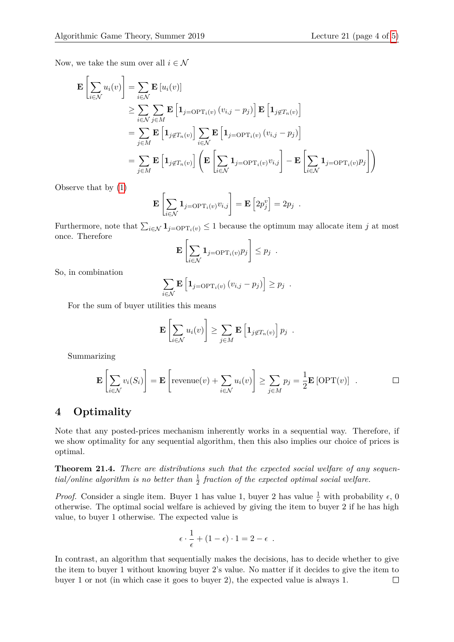Now, we take the sum over all  $i \in \mathcal{N}$ 

$$
\mathbf{E}\left[\sum_{i\in\mathcal{N}} u_i(v)\right] = \sum_{i\in\mathcal{N}} \mathbf{E}\left[u_i(v)\right]
$$
\n
$$
\geq \sum_{i\in\mathcal{N}} \sum_{j\in M} \mathbf{E}\left[\mathbf{1}_{j=\text{OPT}_i(v)}\left(v_{i,j}-p_j\right)\right] \mathbf{E}\left[\mathbf{1}_{j\notin T_n(v)}\right]
$$
\n
$$
= \sum_{j\in M} \mathbf{E}\left[\mathbf{1}_{j\notin T_n(v)}\right] \sum_{i\in\mathcal{N}} \mathbf{E}\left[\mathbf{1}_{j=\text{OPT}_i(v)}\left(v_{i,j}-p_j\right)\right]
$$
\n
$$
= \sum_{j\in M} \mathbf{E}\left[\mathbf{1}_{j\notin T_n(v)}\right] \left(\mathbf{E}\left[\sum_{i\in\mathcal{N}}\mathbf{1}_{j=\text{OPT}_i(v)}v_{i,j}\right] - \mathbf{E}\left[\sum_{i\in\mathcal{N}}\mathbf{1}_{j=\text{OPT}_i(v)}p_j\right]\right)
$$

Observe that by [\(1\)](#page-1-0)

$$
\mathbf{E}\left[\sum_{i\in\mathcal{N}}\mathbf{1}_{j=\text{OPT}_i(v)}v_{i,j}\right]=\mathbf{E}\left[2p_j^v\right]=2p_j.
$$

Furthermore, note that  $\sum_{i \in \mathcal{N}} \mathbf{1}_{j=\text{OPT}_i(v)} \leq 1$  because the optimum may allocate item *j* at most once. Therefore

$$
\mathbf{E}\left[\sum_{i\in\mathcal{N}}\mathbf{1}_{j=\text{OPT}_i(v)}p_j\right]\leq p_j.
$$

So, in combination

$$
\sum_{i \in \mathcal{N}} \mathbf{E} \left[ \mathbf{1}_{j=\text{OPT}_i(v)} \left( v_{i,j} - p_j \right) \right] \geq p_j.
$$

For the sum of buyer utilities this means

$$
\mathbf{E}\left[\sum_{i\in\mathcal{N}}u_i(v)\right]\geq \sum_{j\in M}\mathbf{E}\left[\mathbf{1}_{j\notin T_n(v)}\right]p_j.
$$

Summarizing

$$
\mathbf{E}\left[\sum_{i\in\mathcal{N}}v_i(S_i)\right] = \mathbf{E}\left[\text{revenue}(v) + \sum_{i\in\mathcal{N}}u_i(v)\right] \ge \sum_{j\in M}p_j = \frac{1}{2}\mathbf{E}\left[\text{OPT}(v)\right] .\qquad \Box
$$

## **4 Optimality**

Note that any posted-prices mechanism inherently works in a sequential way. Therefore, if we show optimality for any sequential algorithm, then this also implies our choice of prices is optimal.

**Theorem 21.4.** *There are distributions such that the expected social welfare of any sequen-* $\frac{1}{2}$  *tial/online algorithm is no better than*  $\frac{1}{2}$  *fraction of the expected optimal social welfare.* 

*Proof.* Consider a single item. Buyer 1 has value 1, buyer 2 has value  $\frac{1}{\epsilon}$  with probability  $\epsilon$ , 0 otherwise. The optimal social welfare is achieved by giving the item to buyer 2 if he has high value, to buyer 1 otherwise. The expected value is

$$
\epsilon \cdot \frac{1}{\epsilon} + (1 - \epsilon) \cdot 1 = 2 - \epsilon .
$$

In contrast, an algorithm that sequentially makes the decisions, has to decide whether to give the item to buyer 1 without knowing buyer 2's value. No matter if it decides to give the item to buyer 1 or not (in which case it goes to buyer 2), the expected value is always 1. $\Box$